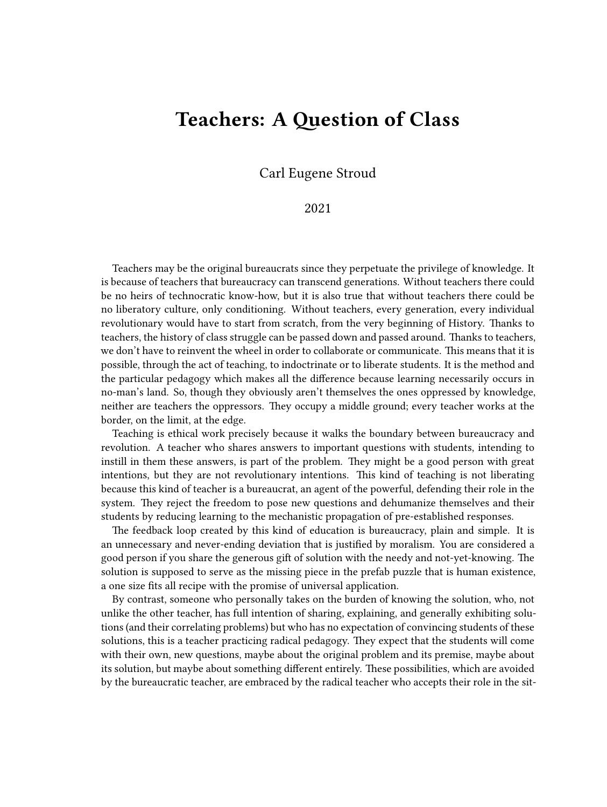## **Teachers: A Question of Class**

Carl Eugene Stroud

## 2021

Teachers may be the original bureaucrats since they perpetuate the privilege of knowledge. It is because of teachers that bureaucracy can transcend generations. Without teachers there could be no heirs of technocratic know-how, but it is also true that without teachers there could be no liberatory culture, only conditioning. Without teachers, every generation, every individual revolutionary would have to start from scratch, from the very beginning of History. Thanks to teachers, the history of class struggle can be passed down and passed around. Thanks to teachers, we don't have to reinvent the wheel in order to collaborate or communicate. This means that it is possible, through the act of teaching, to indoctrinate or to liberate students. It is the method and the particular pedagogy which makes all the difference because learning necessarily occurs in no-man's land. So, though they obviously aren't themselves the ones oppressed by knowledge, neither are teachers the oppressors. They occupy a middle ground; every teacher works at the border, on the limit, at the edge.

Teaching is ethical work precisely because it walks the boundary between bureaucracy and revolution. A teacher who shares answers to important questions with students, intending to instill in them these answers, is part of the problem. They might be a good person with great intentions, but they are not revolutionary intentions. This kind of teaching is not liberating because this kind of teacher is a bureaucrat, an agent of the powerful, defending their role in the system. They reject the freedom to pose new questions and dehumanize themselves and their students by reducing learning to the mechanistic propagation of pre-established responses.

The feedback loop created by this kind of education is bureaucracy, plain and simple. It is an unnecessary and never-ending deviation that is justified by moralism. You are considered a good person if you share the generous gift of solution with the needy and not-yet-knowing. The solution is supposed to serve as the missing piece in the prefab puzzle that is human existence, a one size fits all recipe with the promise of universal application.

By contrast, someone who personally takes on the burden of knowing the solution, who, not unlike the other teacher, has full intention of sharing, explaining, and generally exhibiting solutions (and their correlating problems) but who has no expectation of convincing students of these solutions, this is a teacher practicing radical pedagogy. They expect that the students will come with their own, new questions, maybe about the original problem and its premise, maybe about its solution, but maybe about something different entirely. These possibilities, which are avoided by the bureaucratic teacher, are embraced by the radical teacher who accepts their role in the sit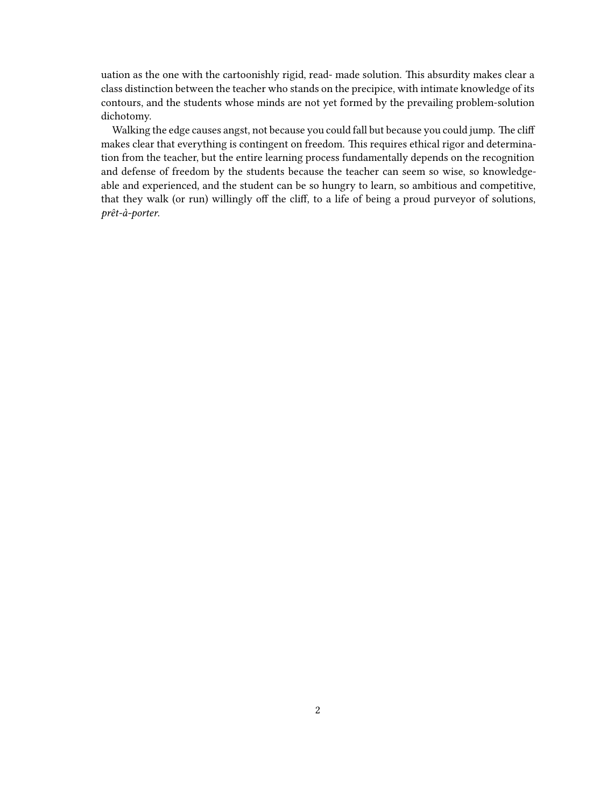uation as the one with the cartoonishly rigid, read- made solution. This absurdity makes clear a class distinction between the teacher who stands on the precipice, with intimate knowledge of its contours, and the students whose minds are not yet formed by the prevailing problem-solution dichotomy.

Walking the edge causes angst, not because you could fall but because you could jump. The cliff makes clear that everything is contingent on freedom. This requires ethical rigor and determination from the teacher, but the entire learning process fundamentally depends on the recognition and defense of freedom by the students because the teacher can seem so wise, so knowledgeable and experienced, and the student can be so hungry to learn, so ambitious and competitive, that they walk (or run) willingly off the cliff, to a life of being a proud purveyor of solutions, *prêt-à-porter*.